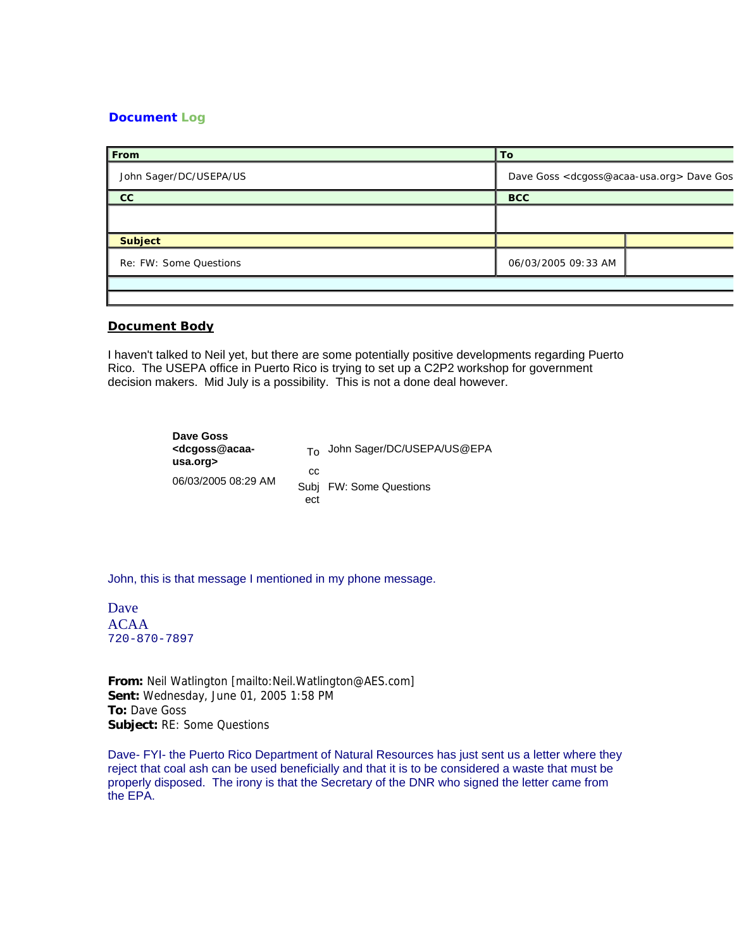## **Document Log**

| <b>From</b>            | To                                                             |  |
|------------------------|----------------------------------------------------------------|--|
| John Sager/DC/USEPA/US | Dave Goss <dcgoss@acaa-usa.org> Dave Gos</dcgoss@acaa-usa.org> |  |
| cc                     | <b>BCC</b>                                                     |  |
|                        |                                                                |  |
| <b>Subject</b>         |                                                                |  |
| Re: FW: Some Questions | 06/03/2005 09:33 AM                                            |  |
|                        |                                                                |  |
|                        |                                                                |  |

## **Document Body**

I haven't talked to Neil yet, but there are some potentially positive developments regarding Puerto Rico. The USEPA office in Puerto Rico is trying to set up a C2P2 workshop for government decision makers. Mid July is a possibility. This is not a done deal however.

> **Dave Goss <dcgoss@acaausa.org>** 06/03/2005 08:29 AM To John Sager/DC/USEPA/US@EPA cc Subj FW: Some Questions ect

John, this is that message I mentioned in my phone message.

Dave ACAA 720-870-7897

**From:** Neil Watlington [mailto:Neil.Watlington@AES.com] **Sent:** Wednesday, June 01, 2005 1:58 PM **To:** Dave Goss **Subject:** RE: Some Questions

Dave- FYI- the Puerto Rico Department of Natural Resources has just sent us a letter where they reject that coal ash can be used beneficially and that it is to be considered a waste that must be properly disposed. The irony is that the Secretary of the DNR who signed the letter came from the EPA.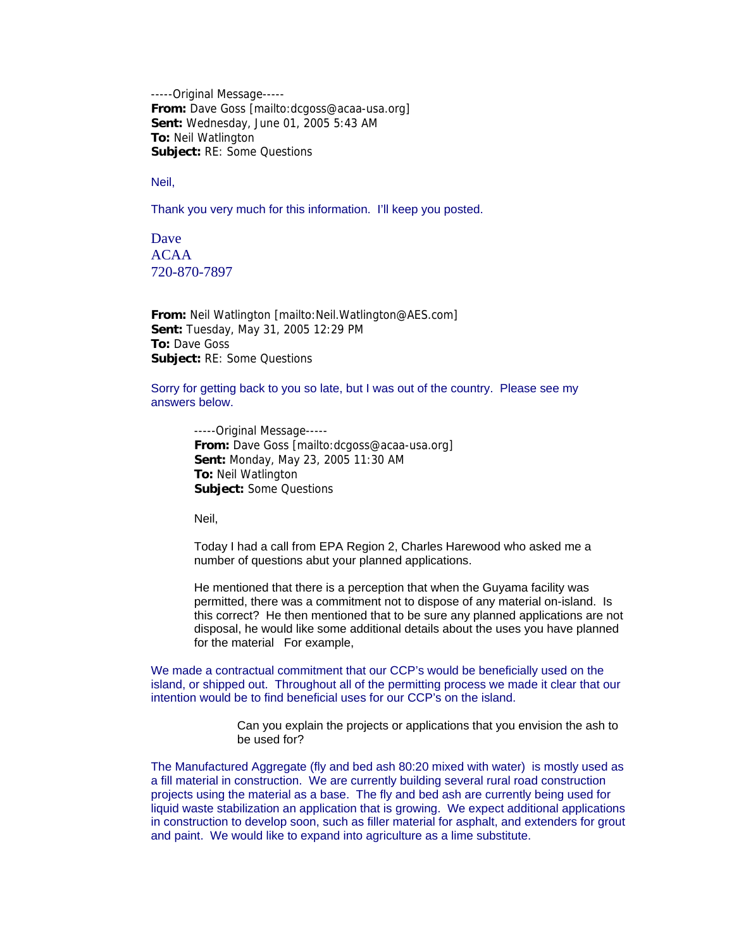-----Original Message----- **From:** Dave Goss [mailto:dcgoss@acaa-usa.org] **Sent:** Wednesday, June 01, 2005 5:43 AM **To:** Neil Watlington **Subject:** RE: Some Questions

Neil,

Thank you very much for this information. I'll keep you posted.

Dave ACAA 720-870-7897

**From:** Neil Watlington [mailto:Neil.Watlington@AES.com] **Sent:** Tuesday, May 31, 2005 12:29 PM **To:** Dave Goss **Subject:** RE: Some Questions

Sorry for getting back to you so late, but I was out of the country. Please see my answers below.

-----Original Message----- **From:** Dave Goss [mailto:dcgoss@acaa-usa.org] **Sent:** Monday, May 23, 2005 11:30 AM **To:** Neil Watlington **Subject:** Some Questions

Neil,

Today I had a call from EPA Region 2, Charles Harewood who asked me a number of questions abut your planned applications.

He mentioned that there is a perception that when the Guyama facility was permitted, there was a commitment not to dispose of any material on-island. Is this correct? He then mentioned that to be sure any planned applications are not disposal, he would like some additional details about the uses you have planned for the material For example,

We made a contractual commitment that our CCP's would be beneficially used on the island, or shipped out. Throughout all of the permitting process we made it clear that our intention would be to find beneficial uses for our CCP's on the island.

> Can you explain the projects or applications that you envision the ash to be used for?

The Manufactured Aggregate (fly and bed ash 80:20 mixed with water) is mostly used as a fill material in construction. We are currently building several rural road construction projects using the material as a base. The fly and bed ash are currently being used for liquid waste stabilization an application that is growing. We expect additional applications in construction to develop soon, such as filler material for asphalt, and extenders for grout and paint. We would like to expand into agriculture as a lime substitute.